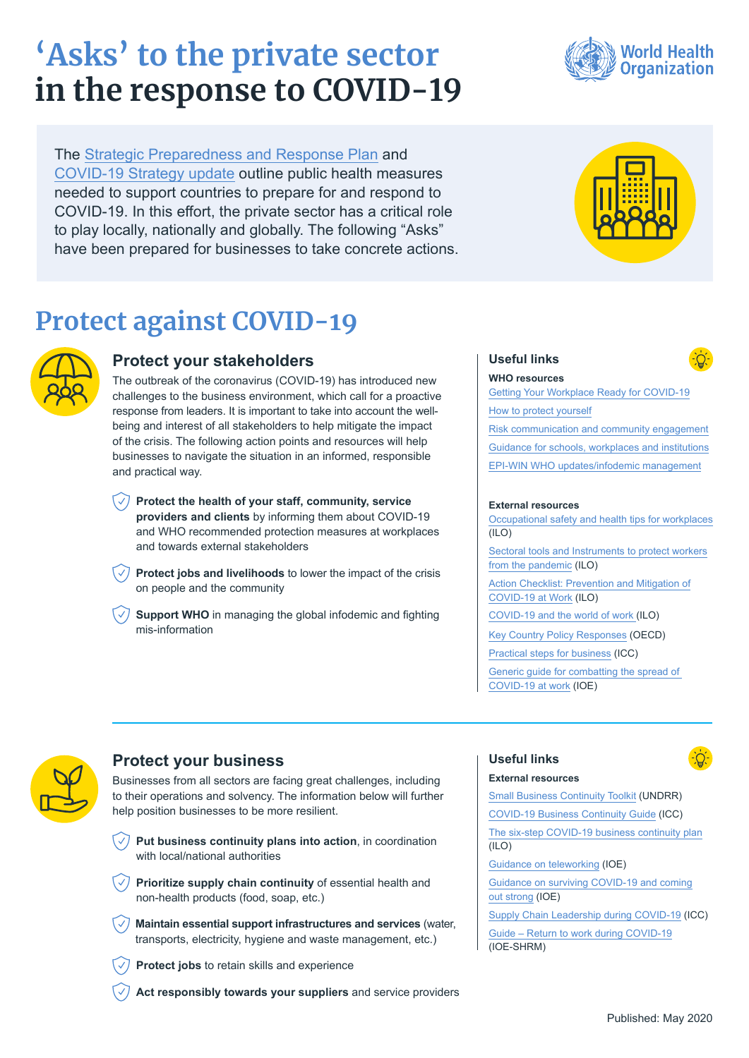# **'Asks' to the private sector in the response to COVID-19**

The [Strategic Preparedness and Response Plan](https://www.who.int/publications-detail/strategic-preparedness-and-response-plan-for-the-new-coronavirus) and [COVID-19 Strategy update](https://www.who.int/docs/default-source/coronaviruse/covid-strategy-update-14april2020.pdf?sfvrsn=29da3ba0_19) outline public health measures needed to support countries to prepare for and respond to COVID-19. In this effort, the private sector has a critical role to play locally, nationally and globally. The following "Asks" have been prepared for businesses to take concrete actions.

# **Protect against COVID-19**



### **Protect your stakeholders**

The outbreak of the coronavirus (COVID-19) has introduced new challenges to the business environment, which call for a proactive response from leaders. It is important to take into account the wellbeing and interest of all stakeholders to help mitigate the impact of the crisis. The following action points and resources will help businesses to navigate the situation in an informed, responsible and practical way.

- **Protect the health of your staff, community, service providers and clients** by informing them about COVID-19 and WHO recommended protection measures at workplaces and towards external stakeholders
- $\sqrt{\sqrt{}}$  **Protect jobs and livelihoods** to lower the impact of the crisis on people and the community
- **Support WHO** in managing the global infodemic and fighting mis-information





#### **Useful links**



**WHO resources** [Getting Your Workplace Ready for COVID-19](https://www.who.int/docs/default-source/coronaviruse/getting-workplace-ready-for-covid-19.pdf) [How to protect yourself](https://www.who.int/emergencies/diseases/novel-coronavirus-2019/advice-for-public) [Risk communication and community engagement](https://www.who.int/emergencies/diseases/novel-coronavirus-2019/technical-guidance/risk-communication-and-community-engagement) [Guidance for schools, workplaces and institutions](https://www.who.int/emergencies/diseases/novel-coronavirus-2019/technical-guidance/guidance-for-schools-workplaces-institutions) [EPI-WIN WHO updates/infodemic management](https://www.who.int/teams/risk-communication/epi-win-updates)

#### **External resources**

[Occupational safety and health tips for workplaces](https://www.ilo.org/global/about-the-ilo/multimedia/video/institutional-videos/WCMS_740609/lang--en/index.htm)   $(IIO)$ [Sectoral tools and Instruments to protect workers](https://www.ilo.org/sector/Resources/WCMS_741253/lang--en/index.htm) [from the pandemic](https://www.ilo.org/sector/Resources/WCMS_741253/lang--en/index.htm) (ILO)

[Action Checklist: Prevention and Mitigation of](https://www.ilo.org/global/topics/safety-and-health-at-work/resources-library/publications/WCMS_741813/lang--en/index.htm) [COVID-19 at Work](https://www.ilo.org/global/topics/safety-and-health-at-work/resources-library/publications/WCMS_741813/lang--en/index.htm) (ILO)

[COVID-19 and the world of work \(](https://www.ilo.org/global/topics/coronavirus/lang--en/index.htm)ILO)

[Key Country Policy Responses](http://oecd.org/coronavirus/en/#policy-responses) (OECD)

[Practical steps for business](https://iccwbo.org/publication/practical-steps-for-business-to-fight-covid-19/) (ICC)

[Generic guide for combatting the spread of](https://www.ioe-emp.org/index.php?eID=dumpFile&t=f&f=146953&token=2955bc3962226ec96d69eccd453adb6a3c456ab2)  [COVID-19 at work \(IOE\)](https://www.ioe-emp.org/index.php?eID=dumpFile&t=f&f=146953&token=2955bc3962226ec96d69eccd453adb6a3c456ab2)



# **Protect your business**

Businesses from all sectors are facing great challenges, including to their operations and solvency. The information below will further help position businesses to be more resilient.

- $\sqrt{2}$ **Put business continuity plans into action**, in coordination with local/national authorities
- $\sqrt{2}$  Prioritize supply chain continuity of essential health and non-health products (food, soap, etc.)
- **Maintain essential support infrastructures and services** (water, transports, electricity, hygiene and waste management, etc.)
- **Protect jobs** to retain skills and experience
- **Act responsibly towards your suppliers** and service providers

#### **Useful links**

**External resources**



[Small Business Continuity Toolkit](https://www.undrr.org/publication/covid-19-small-business-continuity-toolkit) (UNDRR) [COVID-19 Business Continuity Guide](https://iccwbo.org/media-wall/news-speeches/icc-publishes-covid-19-business-continuity-guide/) (ICC) [The six-step COVID-19 business continuity plan](https://www.ilo.org/actemp/publications/WCMS_740375/lang--en/index.htm) (ILO) [Guidance on teleworking](https://www.ioe-emp.org/index.php?eID=dumpFile&t=f&f=146628&token=643c1287970d09e9ca8c7fec40f2e99f5862f24c) (IOE) [Guidance on surviving COVID-19 and coming](https://www.ioe-emp.org/index.php?eID=dumpFile&t=f&f=146627&token=dbce8eb97c52827206ab1b83f15da0d501170b7a) [out strong \(IOE\)](https://www.ioe-emp.org/index.php?eID=dumpFile&t=f&f=146627&token=dbce8eb97c52827206ab1b83f15da0d501170b7a) [Supply Chain Leadership during COVID-19](https://iccwbo.org/publication/corporate-call-to-action-supply-chain-leadership-during-covid-19/) (ICC) [Guide – Return to work during COVID-19](https://www.ioe-emp.org/index.php?eID=dumpFile&t=f&f=146927&token=5c1cd2da98dfa81ee0403afc1ebb2d1d89b0f771) (IOE-SHRM)